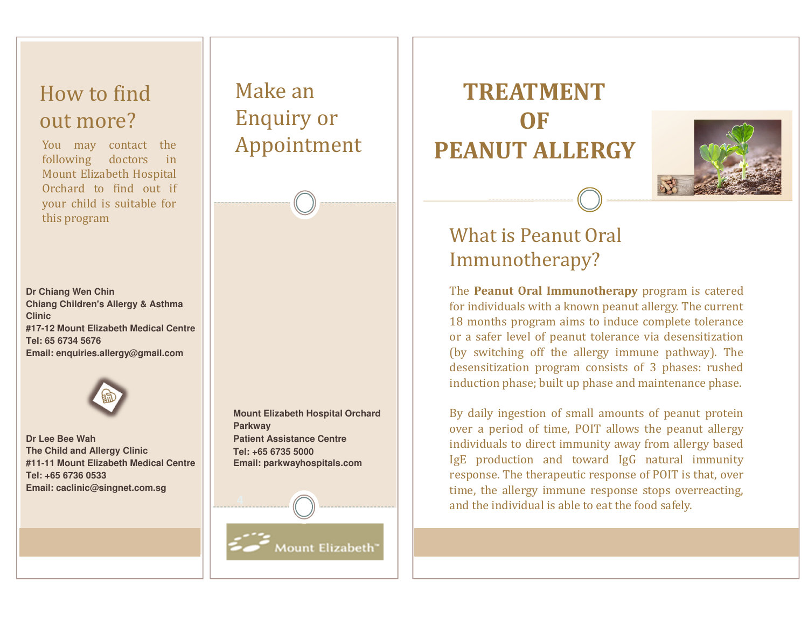### How to find out more?

You may contact the<br>following doctors in following doctors Mount Elizabeth Hospital Orchard to find out if your child is suitable for this program

**Dr Chiang Wen Chin Chiang Children's Allergy & Asthma Clinic #17-12 Mount Elizabeth Medical CentreTel: 65 6734 5676 Email: enquiries.allergy@gmail.com** 



**Dr Lee Bee Wah The Child and Allergy Clinic #11-11 Mount Elizabeth Medical CentreTel: +65 6736 0533Email: caclinic@singnet.com.sg**

Make an Enquiry or Appointment

**Mount Elizabeth Hospital Orchard Parkway Patient Assistance CentreTel: +65 6735 5000Email: parkwayhospitals.com**

Mount Elizabeth

# TREATMENT OF PEANUT ALLERGY



## What is Peanut Oral Immunotherapy?

The **Peanut Oral Immunotherapy** program is catered for individuals with <sup>a</sup> known peanut allergy. The current <sup>18</sup> months program aims to induce complete tolerance or <sup>a</sup> safer level of peanut tolerance via desensitization (by switching off the allergy immune pathway). The desensitization program consists of <sup>3</sup> <sup>p</sup>hases: rushed induction <sup>p</sup>hase; built up <sup>p</sup>hase and maintenance <sup>p</sup>hase.

By daily ingestion of small amounts of peanut protein over <sup>a</sup> period of time, POIT allows the peanut allergy individuals to direct immunity away from allergy based IgE production and toward IgG natural immunity response. The therapeutic response of POIT is that, over time, the allergy immune response stops overreacting, and the individual is able to eat the food safely.